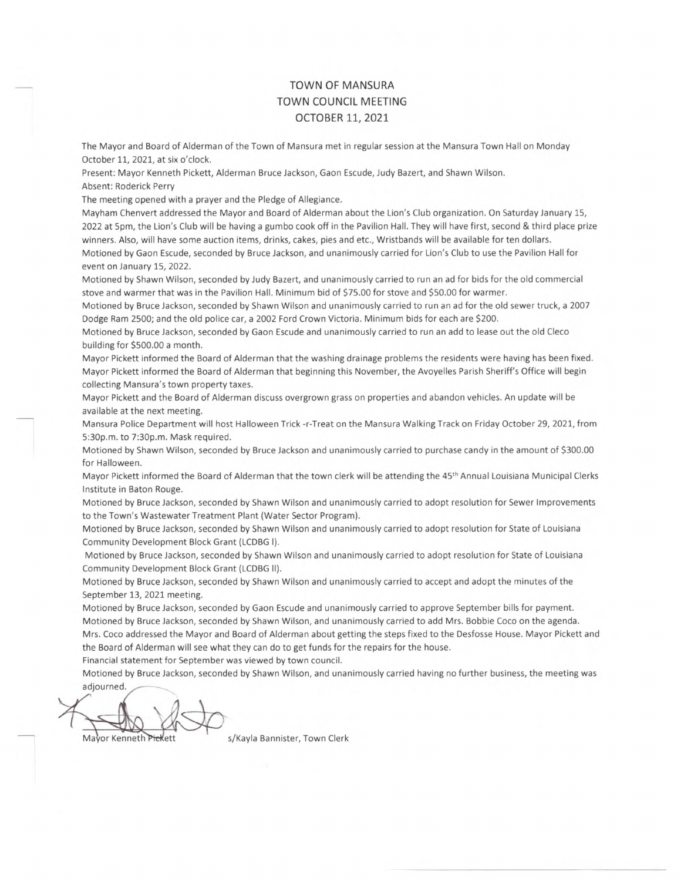## TOWN OF MANSURA TOWN COUNCIL MEETING OCTOBER 11, 2021

The Mayor and Board of Alderman of the Town of Mansura met in regular session at the Mansura Town Hall on Monday October 11, 2021, at six o'clock.

Present: Mayor Kenneth Pickett, Alderman Bruce Jackson, Gaon Escude, Judy Bazert, and Shawn Wilson. Absent: Roderick Perry

The meeting opened with a prayer and the Pledge of Allegiance.

event on January 15, 2022.

Mayham Chenvert addressed the Mayor and Board of Alderman about the Lion's Club organization. On Saturday January 15, 2022 at 5pm, the Lion's Club will be having a gumbo cook off in the Pavilion Hall. They will have first, second & third place prize winners. Also, will have some auction items, drinks, cakes, pies and etc., Wristbands will be available for ten dollars. Motioned by Gaon Escude, seconded by Bruce Jackson, and unanimously carried for Lion's Club to use the Pavilion Hall for

Motioned by Shawn Wilson, seconded by Judy Bazert, and unanimously carried to run an ad for bids for the old commercial stove and warmer that was in the Pavilion Hall. Minimum bid of \$75.00 for stove and \$50.00 for warmer.

Motioned by Bruce Jackson, seconded by Shawn Wilson and unanimously carried to run an ad for the old sewer truck, a 2007 Dodge Ram 2500; and the old police car, a 2002 Ford Crown Victoria. Minimum bids for each are \$200.

Motioned by Bruce Jackson, seconded by Gaon Escude and unanimously carried to run an add to lease out the old Cleco building for \$500.00 a month.

Mayor Pickett informed the Board of Alderman that the washing drainage problems the residents were having has been fixed. Mayor Pickett informed the Board of Alderman that beginning this November, the Avoyelles Parish Sheriff's Office will begin collecting Mansura's town property taxes.

Mayor Pickett and the Board of Alderman discuss overgrown grass on properties and abandon vehicles. An update will be available at the next meeting.

Mansura Police Department will host Halloween Trick -r-Treat on the Mansura Walking Track on Friday October 29, 2021, from 5:30p.m. to 7:30p.m. Mask required.

Motioned by Shawn Wilson, seconded by Bruce Jackson and unanimously carried to purchase candy in the amount of \$300.00 for Halloween.

Mayor Pickett informed the Board of Alderman that the town clerk will be attending the 45th Annual Louisiana Municipal Clerks Institute in Baton Rouge.

Motioned by Bruce Jackson, seconded by Shawn Wilson and unanimously carried to adopt resolution for Sewer Improvements to the Town's Wastewater Treatment Plant (Water Sector Program).

Motioned by Bruce Jackson, seconded by Shawn Wilson and unanimously carried to adopt resolution for State of Louisiana Community Development Block Grant (LCDBG I).

Motioned by Bruce Jackson, seconded by Shawn Wilson and unanimously carried to adopt resolution for State of Louisiana Community Development Block Grant (LCDBG II).

Motioned by Bruce Jackson, seconded by Shawn Wilson and unanimously carried to accept and adopt the minutes of the September 13, 2021 meeting.

Motioned by Bruce Jackson, seconded by Gaon Escude and unanimously carried to approve September bills for payment. Motioned by Bruce Jackson, seconded by Shawn Wilson, and unanimously carried to add Mrs. Bobbie Coco on the agenda. Mrs. Coco addressed the Mayor and Board of Alderman about getting the steps fixed to the Desfosse House. Mayor Pickett and the Board of Alderman will see what they can do to get funds for the repairs for the house.

Financial statement for September was viewed by town council.

Motioned by Bruce Jackson, seconded by Shawn Wilson, and unanimously carried having no further business, the meeting was adjourned.

 $\frac{1}{\sqrt{2}}$ Mayor Kenneth Piekett s/Kayla Bannister, Town Clerk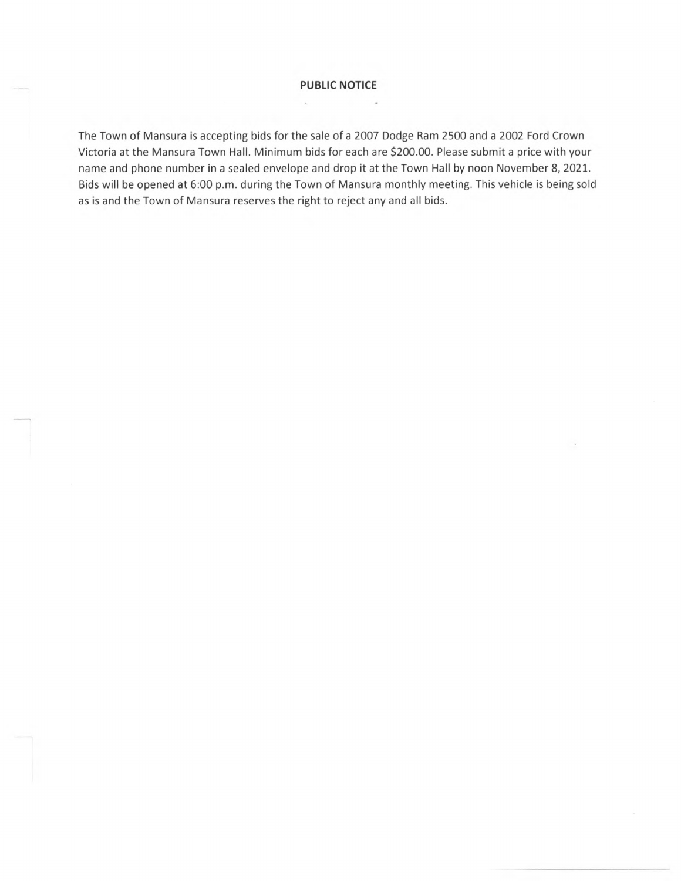## **PUBLIC NOTICE**

i.

The Town of Mansura is accepting bids for the sale of a 2007 Dodge Ram 2500 and a 2002 Ford Crown Victoria at the Mansura Town Hall. Minimum bids for each are \$200.00. Please submit a price with your name and phone number in a sealed envelope and drop it at the Town Hall by noon November 8, 2021. Bids will be opened at 6:00 p.m. during the Town of Mansura monthly meeting. This vehicle is being sold as is and the Town of Mansura reserves the right to reject any and all bids.